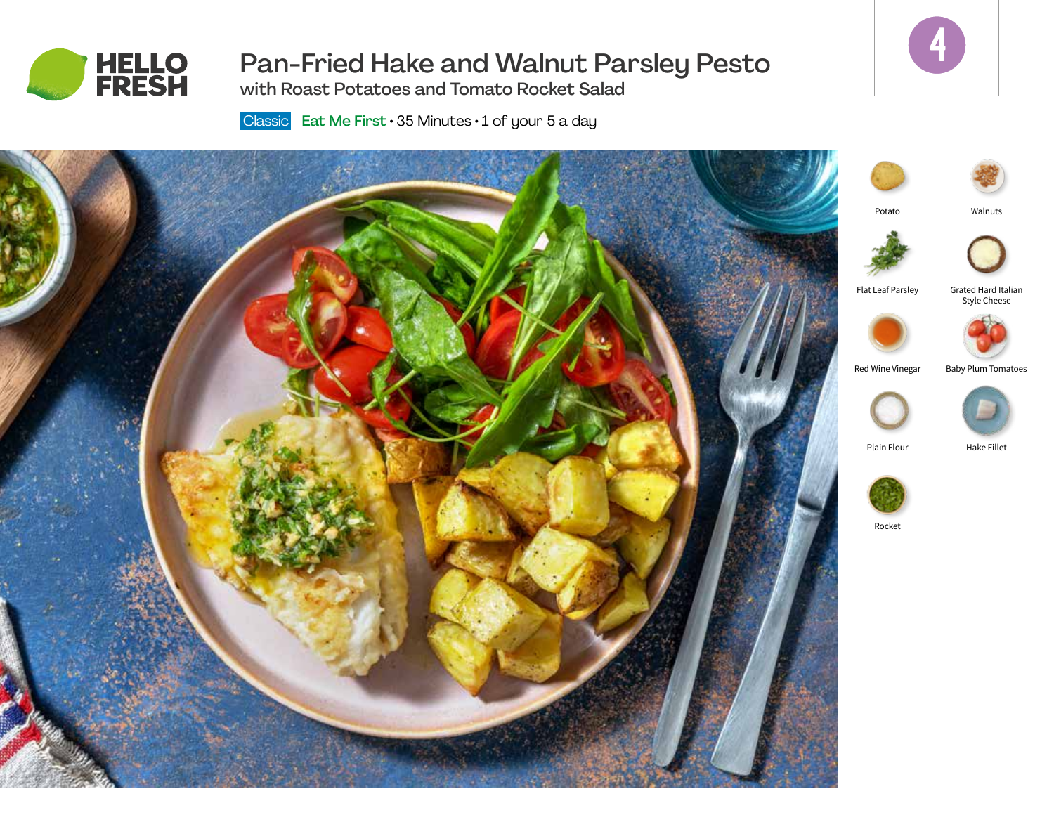

# Pan-Fried Hake and Walnut Parsley Pesto



with Roast Potatoes and Tomato Rocket Salad

Classic Eat Me First  $\cdot$  35 Minutes  $\cdot$  1 of your 5 a day